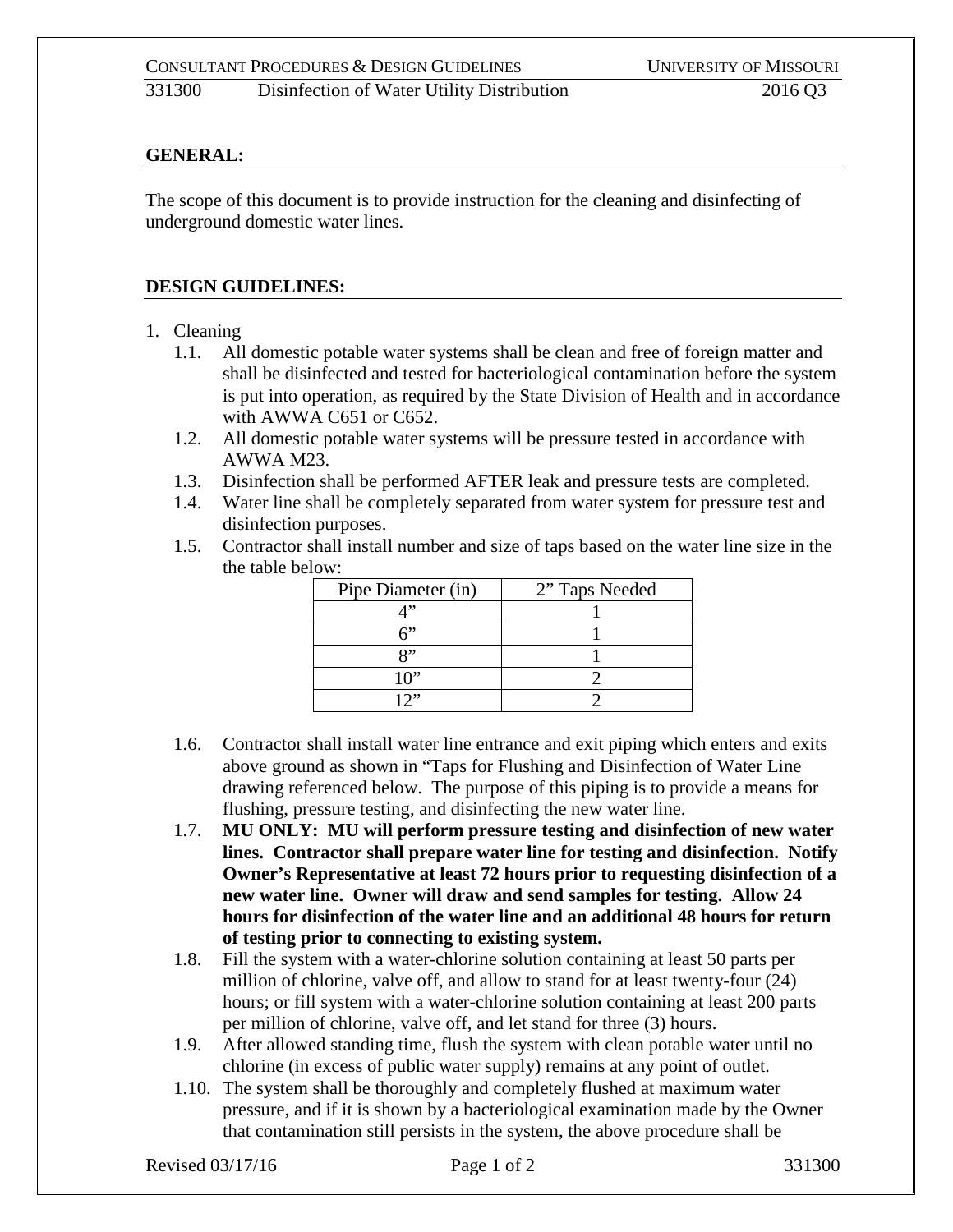## **GENERAL:**

The scope of this document is to provide instruction for the cleaning and disinfecting of underground domestic water lines.

## **DESIGN GUIDELINES:**

- 1. Cleaning
	- 1.1. All domestic potable water systems shall be clean and free of foreign matter and shall be disinfected and tested for bacteriological contamination before the system is put into operation, as required by the State Division of Health and in accordance with AWWA C651 or C652.
	- 1.2. All domestic potable water systems will be pressure tested in accordance with AWWA M23.
	- 1.3. Disinfection shall be performed AFTER leak and pressure tests are completed.
	- 1.4. Water line shall be completely separated from water system for pressure test and disinfection purposes.
	- 1.5. Contractor shall install number and size of taps based on the water line size in the the table below:

| Pipe Diameter (in) | 2" Taps Needed |
|--------------------|----------------|
|                    |                |
|                    |                |
| $Q$ <sup>22</sup>  |                |
| 10"                |                |
| ייר                |                |

- 1.6. Contractor shall install water line entrance and exit piping which enters and exits above ground as shown in "Taps for Flushing and Disinfection of Water Line drawing referenced below. The purpose of this piping is to provide a means for flushing, pressure testing, and disinfecting the new water line.
- 1.7. **MU ONLY: MU will perform pressure testing and disinfection of new water lines. Contractor shall prepare water line for testing and disinfection. Notify Owner's Representative at least 72 hours prior to requesting disinfection of a new water line. Owner will draw and send samples for testing. Allow 24 hours for disinfection of the water line and an additional 48 hours for return of testing prior to connecting to existing system.**
- 1.8. Fill the system with a water-chlorine solution containing at least 50 parts per million of chlorine, valve off, and allow to stand for at least twenty-four (24) hours; or fill system with a water-chlorine solution containing at least 200 parts per million of chlorine, valve off, and let stand for three (3) hours.
- 1.9. After allowed standing time, flush the system with clean potable water until no chlorine (in excess of public water supply) remains at any point of outlet.
- 1.10. The system shall be thoroughly and completely flushed at maximum water pressure, and if it is shown by a bacteriological examination made by the Owner that contamination still persists in the system, the above procedure shall be